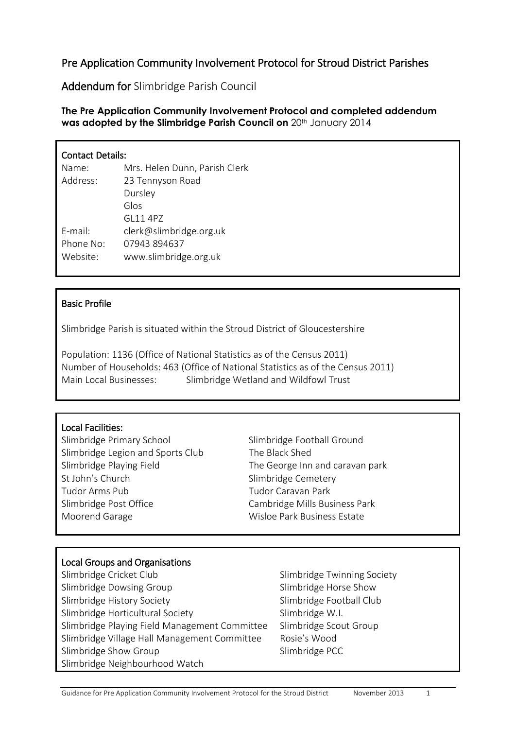# Pre Application Community Involvement Protocol for Stroud District Parishes

Addendum for Slimbridge Parish Council

### **The Pre Application Community Involvement Protocol and completed addendum**  was adopted by the Slimbridge Parish Council on 20<sup>th</sup> January 2014

| <b>Contact Details:</b> |                               |
|-------------------------|-------------------------------|
| Name:                   | Mrs. Helen Dunn, Parish Clerk |
| Address:                | 23 Tennyson Road              |
|                         | Dursley                       |
|                         | Glos                          |
|                         | GI 11 4P7                     |
| $F$ -mail:              | clerk@slimbridge.org.uk       |
| Phone No:               | 07943894637                   |
| Website:                | www.slimbridge.org.uk         |

### Basic Profile

Slimbridge Parish is situated within the Stroud District of Gloucestershire

Population: 1136 (Office of National Statistics as of the Census 2011) Number of Households: 463 (Office of National Statistics as of the Census 2011) Main Local Businesses: Slimbridge Wetland and Wildfowl Trust

### Local Facilities:

Slimbridge Primary School Slimbridge Football Ground Slimbridge Legion and Sports Club The Black Shed Slimbridge Playing Field The George Inn and caravan park St John's Church Slimbridge Cemetery Tudor Arms Pub Tudor Caravan Park Slimbridge Post Office Cambridge Mills Business Park Moorend Garage Moorend Garage Wisloe Park Business Estate

### Local Groups and Organisations

Slimbridge Cricket Club Slimbridge Twinning Society Slimbridge Dowsing Group Slimbridge Horse Show Slimbridge History Society Sumbridge Football Club Slimbridge Horticultural Society Slimbridge W.I. Slimbridge Playing Field Management Committee Slimbridge Scout Group Slimbridge Village Hall Management Committee Rosie's Wood Slimbridge Show Group Slimbridge PCC Slimbridge Neighbourhood Watch